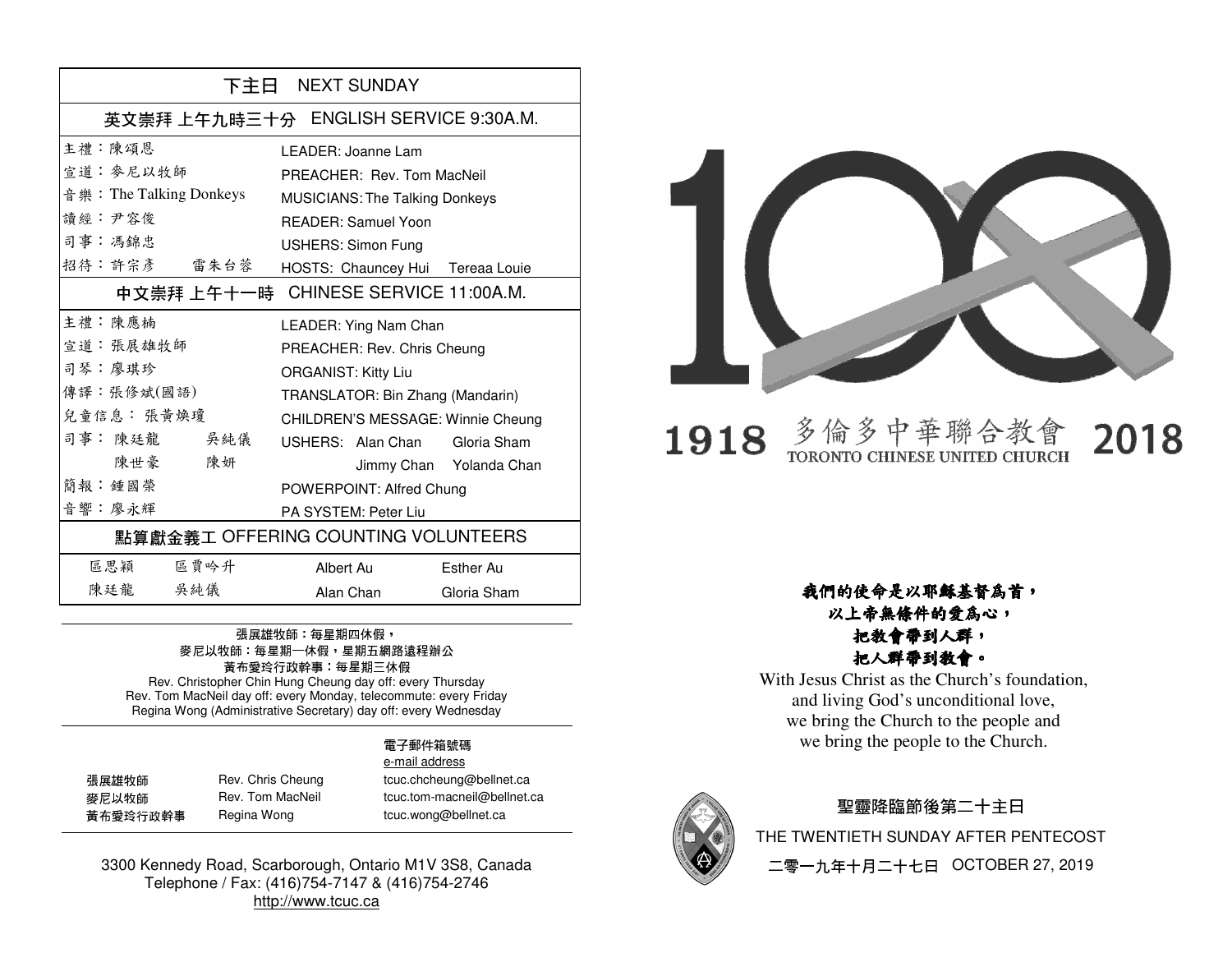| 下主日 NEXT SUNDAY                        |                                       |                         |  |
|----------------------------------------|---------------------------------------|-------------------------|--|
| 英文崇拜 上午九時三十分 ENGLISH SERVICE 9:30A.M.  |                                       |                         |  |
| 主禮 · 陳頌恩                               | LEADER: Joanne Lam                    |                         |  |
| 宣道: 麥尼以牧師                              | PREACHER: Rev. Tom MacNeil            |                         |  |
| 音 樂: The Talking Donkeys               | <b>MUSICIANS: The Talking Donkeys</b> |                         |  |
| 讀經:尹容俊                                 | <b>READER: Samuel Yoon</b>            |                         |  |
| 司事:馮錦忠                                 | <b>USHERS: Simon Fung</b>             |                         |  |
| 招待:許宗彥 雷朱台蓉                            | HOSTS: Chauncey Hui Tereaa Louie      |                         |  |
| 中文崇拜 上午十一時 - CHINESE SERVICE 11:00A.M. |                                       |                         |  |
| 主禮 · 陳應楠                               | LEADER: Ying Nam Chan                 |                         |  |
| 宣道: 張展雄牧師                              | PREACHER: Rev. Chris Cheung           |                         |  |
| 司琴:廖琪珍                                 | <b>ORGANIST: Kitty Liu</b>            |                         |  |
| 傳譯:張修斌(國語)                             | TRANSLATOR: Bin Zhang (Mandarin)      |                         |  |
| 兒童信息: 張黃煥瓊                             | CHILDREN'S MESSAGE: Winnie Cheung     |                         |  |
| 司事:陳廷龍 吳純儀                             | USHERS: Alan Chan Gloria Sham         |                         |  |
| 陳世豪 陳妍                                 |                                       | Jimmy Chan Yolanda Chan |  |
| 簡報·鍾國榮                                 | POWERPOINT: Alfred Chung              |                         |  |
| 音響:廖永輝                                 | PA SYSTEM: Peter Liu                  |                         |  |
| 點算獻金義工 OFFERING COUNTING VOLUNTEERS    |                                       |                         |  |
| 區思穎 區賈吟升                               | Albert Au                             | Esther Au               |  |
| 陳廷龍 吳純儀                                | Alan Chan                             | Gloria Sham             |  |

### 張展雄牧師:每星期四休假, 麥尼以牧師:每星期一休假,星期五網路遠程辦公 黃布愛玲行政幹事:每星期三休假 Rev. Christopher Chin Hung Cheung day off: every Thursday

 Rev. Tom MacNeil day off: every Monday, telecommute: every Friday Regina Wong (Administrative Secretary) day off: every Wednesday

#### 電子郵件箱號碼 e-mail address

| 張展雄牧師    | Rev. Chris Cheung | tcuc.chcheung@bellnet.ca    |
|----------|-------------------|-----------------------------|
| 麥尼以牧師    | Rev. Tom MacNeil  | tcuc.tom-macneil@bellnet.ca |
| 黃布愛玲行政幹事 | Regina Wong       | tcuc.wong@bellnet.ca        |

3300 Kennedy Road, Scarborough, Ontario M1V 3S8, Canada Telephone / Fax: (416)754-7147 & (416)754-2746 http://www.tcuc.ca



#### 多倫多中華聯合教 2018 1918 TORONTO CHINESE UNITED CHURCH

我們的使命是以耶穌基督為首,以上帝無條件的愛為心,

### 把教會帶到人群,把人群帶到教會。

 With Jesus Christ as the Church's foundation, and living God's unconditional love, we bring the Church to the people and we bring the people to the Church.



### 聖靈降臨節後第二十主日 THE TWENTIETH SUNDAY AFTER PENTECOST 二零一九年十月二十七日 OCTOBER 27, 2019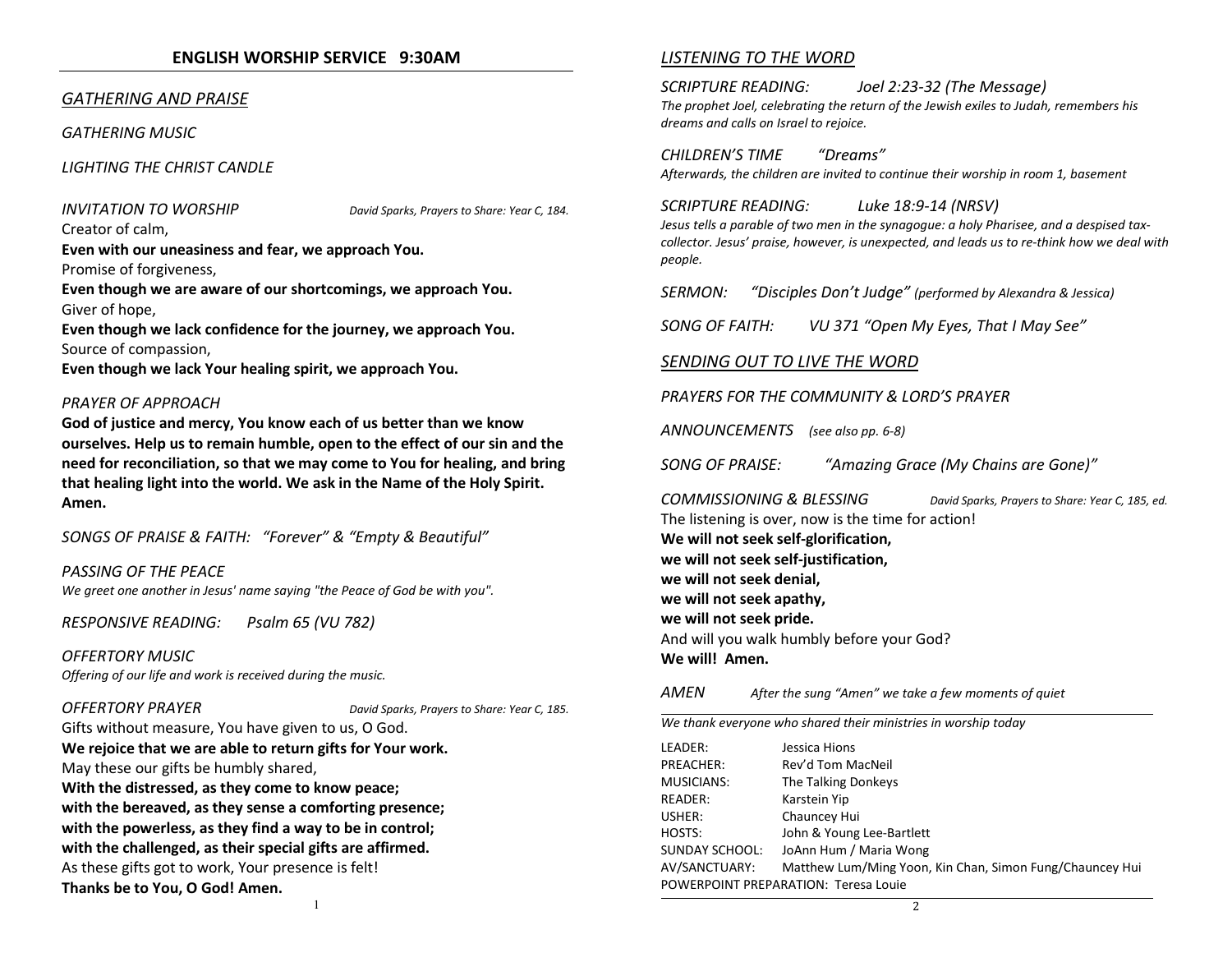### ENGLISH WORSHIP SERVICE 9:30AM

### GATHERING AND PRAISE

GATHERING MUSIC

LIGHTING THE CHRIST CANDLE

INVITATION TO WORSHIP David Sparks, Prayers to Share: Year C, 184.

Creator of calm,

Even with our uneasiness and fear, we approach You.

Promise of forgiveness,

Even though we are aware of our shortcomings, we approach You. Giver of hope,

Even though we lack confidence for the journey, we approach You. Source of compassion,

Even though we lack Your healing spirit, we approach You.

#### PRAYER OF APPROACH

God of justice and mercy, You know each of us better than we know ourselves. Help us to remain humble, open to the effect of our sin and the need for reconciliation, so that we may come to You for healing, and bring that healing light into the world. We ask in the Name of the Holy Spirit. Amen.

SONGS OF PRAISE & FAITH: "Forever" & "Empty & Beautiful"

PASSING OF THE PEACE

We greet one another in Jesus' name saying "the Peace of God be with you".

RESPONSIVE READING: Psalm 65 (VU 782)

OFFERTORY MUSICOffering of our life and work is received during the music.

OFFERTORY PRAYER DAVID BOUGHT DAVID Sparks, Prayers to Share: Year C, 185.

Gifts without measure, You have given to us, O God.

We rejoice that we are able to return gifts for Your work.May these our gifts be humbly shared, With the distressed, as they come to know peace; with the bereaved, as they sense a comforting presence; with the powerless, as they find a way to be in control; with the challenged, as their special gifts are affirmed.As these gifts got to work, Your presence is felt! Thanks be to You, O God! Amen.

#### LISTENING TO THE WORD

SCRIPTURE READING: Joel 2:23-32 (The Message) The prophet Joel, celebrating the return of the Jewish exiles to Judah, remembers his dreams and calls on Israel to rejoice.

CHILDREN'S TIME "Dreams" Afterwards, the children are invited to continue their worship in room 1, basement

#### SCRIPTURE READING: Luke 18:9-14 (NRSV)

Jesus tells a parable of two men in the synagogue: a holy Pharisee, and a despised taxcollector. Jesus' praise, however, is unexpected, and leads us to re-think how we deal with people.

SERMON: "Disciples Don't Judge" (performed by Alexandra & Jessica)

SONG OF FAITH: VU 371 "Open My Eyes, That I May See"

### SENDING OUT TO LIVE THE WORD

PRAYERS FOR THE COMMUNITY & LORD'S PRAYER

ANNOUNCEMENTS (see also pp. 6-8)

SONG OF PRAISE: "Amazing Grace (My Chains are Gone)"

COMMISSIONING & BLESSING David Sparks, Prayers to Share: Year C, 185, ed.The listening is over, now is the time for action! We will not seek self-glorification, we will not seek self-justification, we will not seek denial, we will not seek apathy, we will not seek pride.And will you walk humbly before your God? We will! Amen.

#### **AMFN** After the sung "Amen" we take a few moments of quiet

We thank everyone who shared their ministries in worship today

| LEADER:                              | Jessica Hions                                            |  |
|--------------------------------------|----------------------------------------------------------|--|
| PREACHER:                            | Rev'd Tom MacNeil                                        |  |
| <b>MUSICIANS:</b>                    | The Talking Donkeys                                      |  |
| READER:                              | Karstein Yip                                             |  |
| USHER:                               | Chauncey Hui                                             |  |
| HOSTS:                               | John & Young Lee-Bartlett                                |  |
| <b>SUNDAY SCHOOL:</b>                | JoAnn Hum / Maria Wong                                   |  |
| AV/SANCTUARY:                        | Matthew Lum/Ming Yoon, Kin Chan, Simon Fung/Chauncey Hui |  |
| POWERPOINT PREPARATION: Teresa Louie |                                                          |  |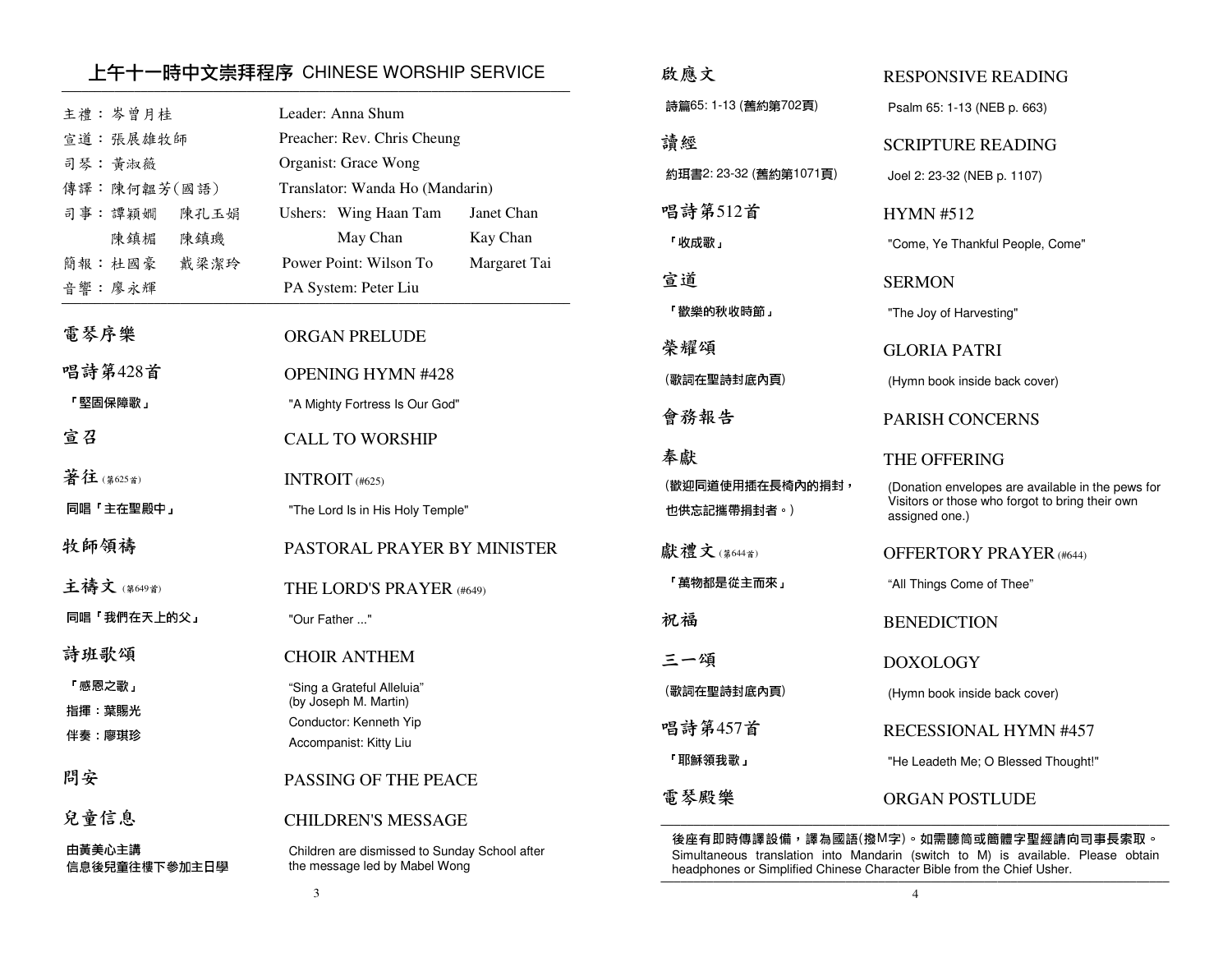### 上午十一時中文崇拜程序 CHINESE WORSHIP SERVICE ─────────────────────────────────────────────────────────────────────────────

| 主禮:岑曾月桂<br>宣道:張展雄牧師<br>司琴:黄淑薇<br>傳譯:陳何韞芳(國語)             | Leader: Anna Shum<br>Preacher: Rev. Chris Cheung<br>Organist: Grace Wong<br>Translator: Wanda Ho (Mandarin)                    | 詩<br>讀<br>約          |
|----------------------------------------------------------|--------------------------------------------------------------------------------------------------------------------------------|----------------------|
| 司事:譚穎嫺<br>陳孔玉娟<br>陳鎮璣<br>陳鎮楣<br>簡報:杜國豪<br>戴梁潔玲<br>音響:廖永輝 | Ushers: Wing Haan Tam<br>Janet Chan<br>Kay Chan<br>May Chan<br>Power Point: Wilson To<br>Margaret Tai<br>PA System: Peter Liu  | 唱<br>Γij<br>宣.<br>Гį |
| 電琴序樂                                                     | <b>ORGAN PRELUDE</b>                                                                                                           | 榮                    |
| 唱詩第428首                                                  | <b>OPENING HYMN #428</b>                                                                                                       | (歌                   |
| 「堅固保障歌」                                                  | "A Mighty Fortress Is Our God"                                                                                                 | 會                    |
| 宣召                                                       | <b>CALL TO WORSHIP</b>                                                                                                         | 奉                    |
| 著往(第625首)                                                | INTROIT $(#625)$                                                                                                               | (歡                   |
| 同唱「主在聖殿中」                                                | "The Lord Is in His Holy Temple"                                                                                               | 也                    |
| 牧師領禱                                                     | PASTORAL PRAYER BY MINISTER                                                                                                    | 獻                    |
| 主禱文(第649首)                                               | THE LORD'S PRAYER (#649)                                                                                                       | ΓĮ                   |
| 同唱「我們在天上的父」                                              | "Our Father "                                                                                                                  | 祝                    |
| 詩班歌頌<br>「感恩之歌」<br>指揮 葉賜光<br>伴奏 廖琪珍                       | <b>CHOIR ANTHEM</b><br>"Sing a Grateful Alleluia"<br>(by Joseph M. Martin)<br>Conductor: Kenneth Yip<br>Accompanist: Kitty Liu | 三<br>(歌<br>唱<br>ΓĮ   |
| 問安                                                       | PASSING OF THE PEACE                                                                                                           | 電                    |
| 兒童信息                                                     | CHILDREN'S MESSAGE                                                                                                             | 後                    |
| 由黃美心主講                                                   | Children are dismissed to Sunday School after                                                                                  | Si                   |
| 信息後兒童往樓下參加主日學                                            | the message led by Mabel Wong                                                                                                  | h٤                   |

| 啟應文                             | RESPONSIVE READING                                                                                                     |
|---------------------------------|------------------------------------------------------------------------------------------------------------------------|
| 詩篇65: 1-13 (舊約第702頁)            | Psalm 65: 1-13 (NEB p. 663)                                                                                            |
| 請經                              | <b>SCRIPTURE READING</b>                                                                                               |
| 約珥書2: 23-32 (舊約第1071頁)          | Joel 2: 23-32 (NEB p. 1107)                                                                                            |
| 唱詩第512首                         | <b>HYMN #512</b>                                                                                                       |
| 「收成歌」                           | "Come, Ye Thankful People, Come"                                                                                       |
| 宣道                              | <b>SERMON</b>                                                                                                          |
| 「歡樂的秋收時節」                       | "The Joy of Harvesting"                                                                                                |
| 榮耀頌                             | GLORIA PATRI                                                                                                           |
| (歌詞在聖詩封底內頁)                     | (Hymn book inside back cover)                                                                                          |
| 會務報告                            | <b>PARISH CONCERNS</b>                                                                                                 |
|                                 |                                                                                                                        |
| 奉獻                              | THE OFFERING                                                                                                           |
| (歡迎同道使用插在長椅內的捐封,<br>也供忘記攜帶捐封者。) | (Donation envelopes are available in the pews for<br>Visitors or those who forgot to bring their own<br>assigned one.) |
| 獻禮文(第644首)                      | <b>OFFERTORY PRAYER (#644)</b>                                                                                         |
| 「萬物都是從主而來」                      | "All Things Come of Thee"                                                                                              |
| 祝福                              | <b>BENEDICTION</b>                                                                                                     |
| 三一頌                             | DOXOLOGY                                                                                                               |
| (歌詞在聖詩封底內頁)                     | (Hymn book inside back cover)                                                                                          |
| 唱詩第457首                         | <b>RECESSIONAL HYMN #457</b>                                                                                           |
| 「耶穌領我歌」                         | "He Leadeth Me; O Blessed Thought!"                                                                                    |

後座有即時傳譯設備,譯為國語(撥M字)。如需聽筒或簡體字聖經請向司事長索取。 Simultaneous translation into Mandarin (switch to M) is available. Please obtain headphones or Simplified Chinese Character Bible from the Chief Usher.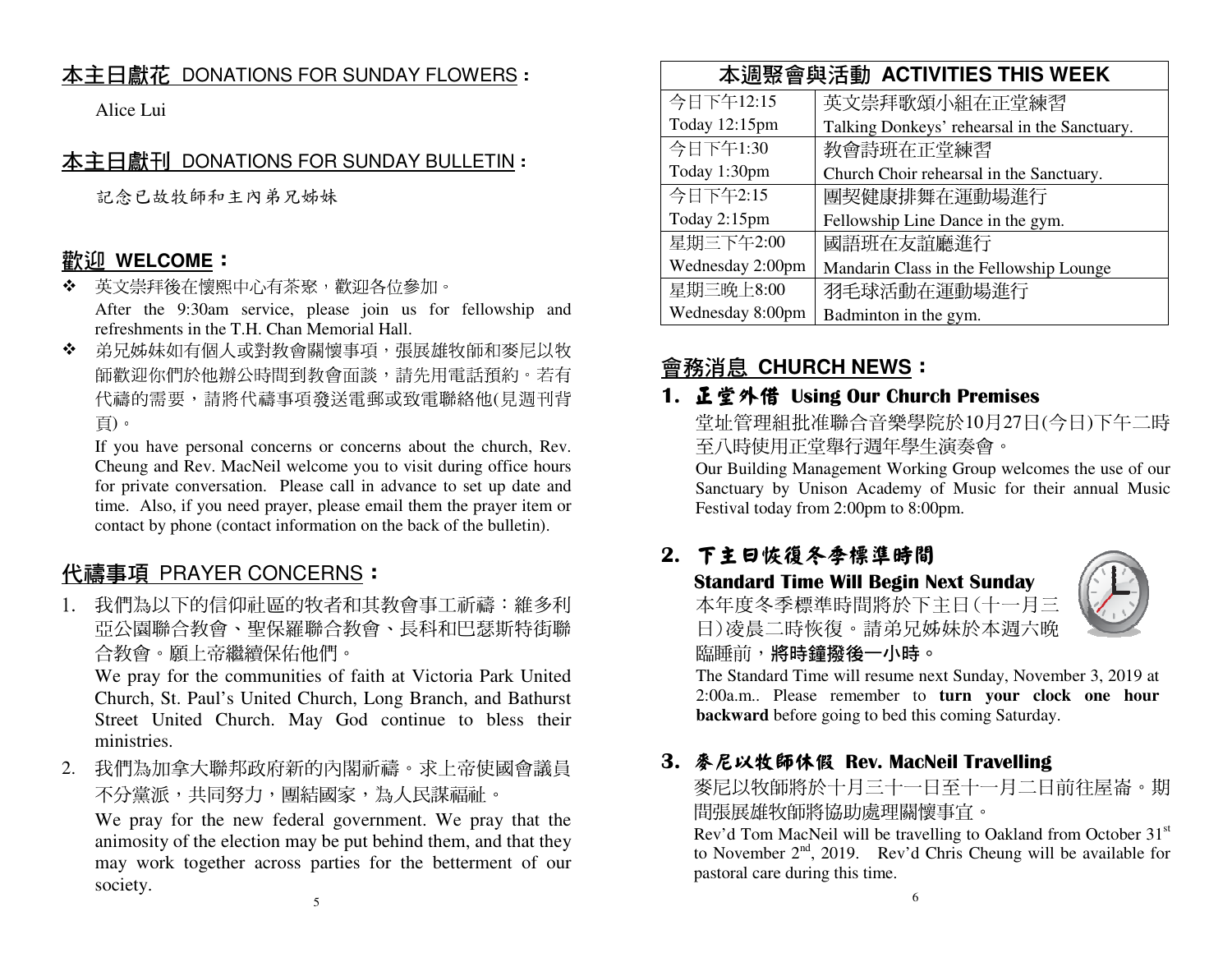# 本主日獻花 DONATIONS FOR SUNDAY FLOWERS:

Alice Lui

### 本主日獻刊 DONATIONS FOR SUNDAY BULLETIN:

記念已故牧師和主內弟兄姊妹

## **歡<u>迎 WELCOME</u>:**<br>❖ 苹文墨拜後在懷**國**

- ◆ 英文崇拜後在懷熙中心有茶聚,歡迎各位參加。<br>◆ △。 ○○○ After the 9:30am service, please join us for fellowship and refreshments in the T.H. Chan Memorial Hall.
- $\mathbf{A}$ 弟兄姊妹如有個人或對教會關懷事項,張展雄牧師和麥尼以牧 師歡迎你們於他辦公時間到教會面談,請先用電話預約。若有 代禱的需要,請將代禱事項發送電郵或致電聯絡他(見週刊背頁)。

 If you have personal concerns or concerns about the church, Rev. Cheung and Rev. MacNeil welcome you to visit during office hours for private conversation. Please call in advance to set up date and time. Also, if you need prayer, please email them the prayer item or contact by phone (contact information on the back of the bulletin).

# <u>代禱事項 PRAYER CONCERNS</u>:<br>1 我們为NT的信仰引度的批求的

1.我們為以下的信仰社區的牧者和其教會事工祈禱:維多利 亞公園聯合教會、聖保羅聯合教會、長科和巴瑟斯特街聯合教會。願上帝繼續保佑他們。

 We pray for the communities of faith at Victoria Park United Church, St. Paul's United Church, Long Branch, and Bathurst Street United Church. May God continue to bless their ministries.

2. 我們為加拿大聯邦政府新的內閣祈禱。求上帝使國會議員不分黨派,共同努力,團結國家,為人民謀福祉。

 We pray for the new federal government. We pray that the animosity of the election may be put behind them, and that they may work together across parties for the betterment of our society.

| 本调聚會與活動 ACTIVITIES THIS WEEK |                                              |  |
|------------------------------|----------------------------------------------|--|
| 今日下午12:15                    | 英文崇拜歌頌小組在正堂練習                                |  |
| Today 12:15pm                | Talking Donkeys' rehearsal in the Sanctuary. |  |
| 今日下午1:30                     | 教會詩班在正堂練習                                    |  |
| Today 1:30pm                 | Church Choir rehearsal in the Sanctuary.     |  |
| 今日下午2:15                     | 團契健康排舞在運動場進行                                 |  |
| Today 2:15pm                 | Fellowship Line Dance in the gym.            |  |
| 星期三下午2:00                    | 國語班在友誼廳進行                                    |  |
| Wednesday 2:00pm             | Mandarin Class in the Fellowship Lounge      |  |
| 星期三晚上8:00                    | 羽毛球活動在運動場進行                                  |  |
| Wednesday 8:00pm             | Badminton in the gym.                        |  |

# 會務消息 **CHURCH NEWS**:

# 1. 正堂外借 Using Our Church Premises<br>普拉普理组班准鹏合音樂學院於10日27日

堂址管理組批准聯合音樂學院於10月27日(今日)下午二時至八時使用正堂舉行週年學生演奏會。

 Our Building Management Working Group welcomes the use of our Sanctuary by Unison Academy of Music for their annual Music Festival today from 2:00pm to 8:00pm.

### 2. 下主日恢復冬季標準時間

 Standard Time Will Begin Next Sunday 本年度冬季標準時間將於下主日(十一月三日)凌晨二時恢復。請弟兄姊妹於本週六晚



臨睡前,將時鐘撥後一小時。

 The Standard Time will resume next Sunday, November 3, 2019 at 2:00a.m.. Please remember to **turn your clock one hour backward** before going to bed this coming Saturday.

## 3. 麥尼以牧師休假 Rev. MacNeil Travelling

麥尼以牧師將於十月三十一日至十一月二日前往屋崙。期間張展雄牧師將協助處理關懷事宜。

Rev'd Tom MacNeil will be travelling to Oakland from October  $31<sup>st</sup>$ to November  $2<sup>nd</sup>$ , 2019. Rev'd Chris Cheung will be available for pastoral care during this time.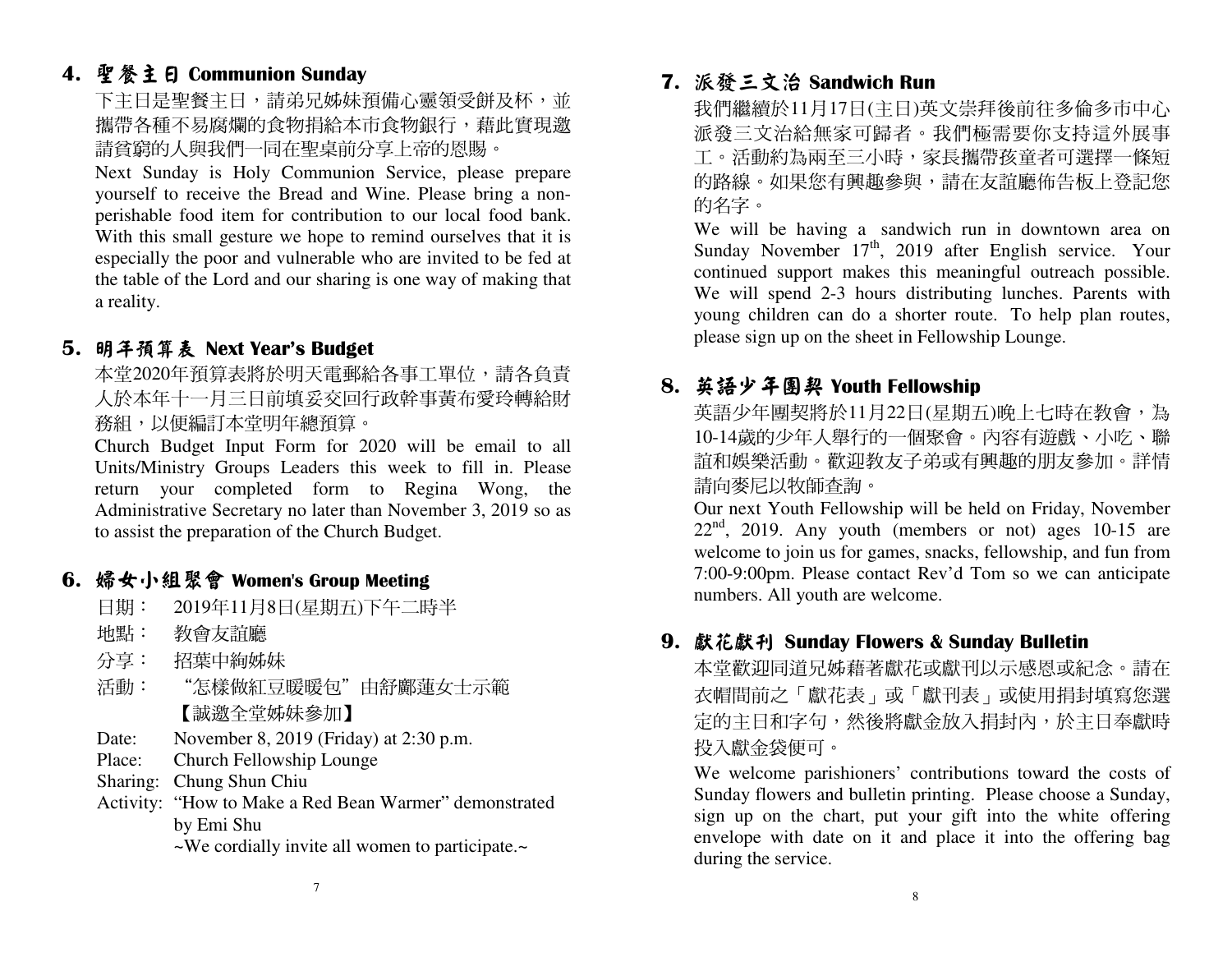# 4. 聖餐主日 Communion Sunday<br>下士曰具取餐士曰,請弟兄就相

下主日是聖餐主日,請弟兄姊妹預備心靈領受餅及杯,並 攜帶各種不易腐爛的食物捐給本市食物銀行,藉此實現邀 請貧窮的人與我們一同在聖桌前分享上帝的恩賜。

 Next Sunday is Holy Communion Service, please prepare yourself to receive the Bread and Wine. Please bring a nonperishable food item for contribution to our local food bank. With this small gesture we hope to remind ourselves that it is especially the poor and vulnerable who are invited to be fed at the table of the Lord and our sharing is one way of making that a reality.

## 5.明年預算表 Next Year's Budget<br>本党2020年預算丰收於朋王重郵丝

本堂2020年預算表將於明天電郵給各事工單位,請各負責 人於本年十一月三日前填妥交回行政幹事黃布愛玲轉給財務組,以便編訂本堂明年總預算。

 Church Budget Input Form for 2020 will be email to all Units/Ministry Groups Leaders this week to fill in. Please return your completed form to Regina Wong, the Administrative Secretary no later than November 3, 2019 so as to assist the preparation of the Church Budget.

## 6.婦女小組聚會 Women's Group Meeting<br>□□□□: 2019年11日8日(昆期五)下午二世

- 日期: 2019年11月8日(星期五)下午二時半
- : 教會友誼廳 地點:
- 分享:招葉中絢姊妹
- 活動: "怎樣做紅豆暖暖包"由舒鄺蓮女士示範 【誠邀全堂姊妹參加】
- Date: November 8, 2019 (Friday) at 2:30 p.m.
- Place: Church Fellowship Lounge
- Sharing: Chung Shun Chiu
- Activity: "How to Make a Red Bean Warmer" demonstrated by Emi Shu
- ~We cordially invite all women to participate.~

### 7. 派發三文治

派發三文治 Sandwich Run<br>我們繼續於11月17日(主日)英文崇拜後前往多倫多市中心 派發三文治給無家可歸者。我們極需要你支持這外展事工。活動約為兩至三小時,家長攜帶孩童者可選擇一條短 的路線。如果您有興趣參與,請在友誼廳佈告板上登記您 的名字。

 We will be having a sandwich run in downtown area on Sunday November  $17<sup>th</sup>$ , 2019 after English service. Your continued support makes this meaningful outreach possible. We will spend 2-3 hours distributing lunches. Parents with young children can do a shorter route. To help plan routes, please sign up on the sheet in Fellowship Lounge.

## 8. 英語少年團契 Youth Fellowship<br>苯氧丙在国规整於11日22日(昆邯

英語少年團契將於11月22日(星期五)晚上七時在教會,為 10-14歲的少年人舉行的一個聚會。內容有遊戲、小吃、聯 誼和娛樂活動。歡迎教友子弟或有興趣的朋友參加。詳情請向麥尼以牧師查詢。

 Our next Youth Fellowship will be held on Friday, November  $22<sup>nd</sup>$ , 2019. Any youth (members or not) ages 10-15 are welcome to join us for games, snacks, fellowship, and fun from 7:00-9:00pm. Please contact Rev'd Tom so we can anticipate numbers. All youth are welcome.

## 9.獻花獻刊 Sunday Flowers & Sunday Bulletin<br>本堂數如同道見祗藉著獻武武齡功臣最因武紀

本堂歡迎同道兄姊藉著獻花或獻刊以示感恩或紀念。請在 衣帽間前之「獻花表」或「獻刊表」或使用捐封填寫您選 定的主日和字句,然後將獻金放入捐封內,於主日奉獻時投入獻金袋便可。

 We welcome parishioners' contributions toward the costs of Sunday flowers and bulletin printing. Please choose a Sunday, sign up on the chart, put your gift into the white offering envelope with date on it and place it into the offering bag during the service.